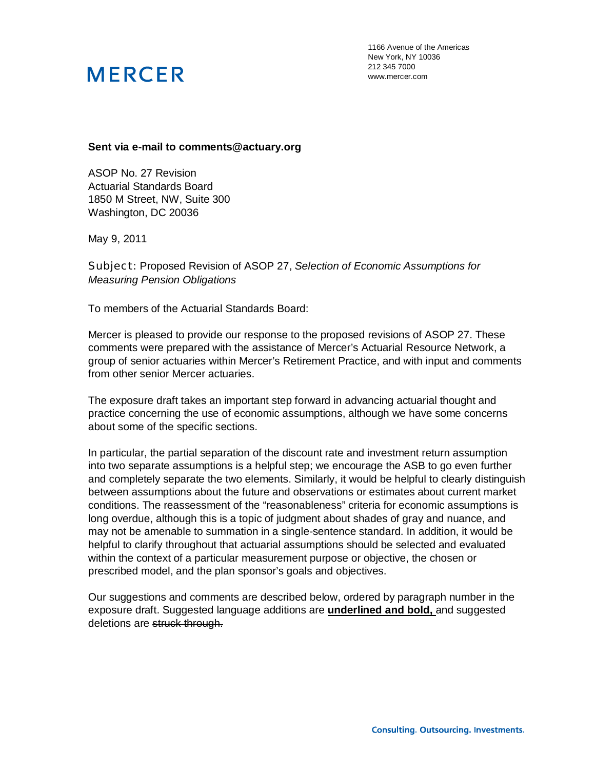1166 Avenue of the Americas New York, NY 10036 212 345 7000 www.mercer.com

#### **Sent via e-mail to comments@actuary.org**

ASOP No. 27 Revision Actuarial Standards Board 1850 M Street, NW, Suite 300 Washington, DC 20036

May 9, 2011

Subject: Proposed Revision of ASOP 27, *Selection of Economic Assumptions for Measuring Pension Obligations*

To members of the Actuarial Standards Board:

Mercer is pleased to provide our response to the proposed revisions of ASOP 27. These comments were prepared with the assistance of Mercer's Actuarial Resource Network, a group of senior actuaries within Mercer's Retirement Practice, and with input and comments from other senior Mercer actuaries.

The exposure draft takes an important step forward in advancing actuarial thought and practice concerning the use of economic assumptions, although we have some concerns about some of the specific sections.

In particular, the partial separation of the discount rate and investment return assumption into two separate assumptions is a helpful step; we encourage the ASB to go even further and completely separate the two elements. Similarly, it would be helpful to clearly distinguish between assumptions about the future and observations or estimates about current market conditions. The reassessment of the "reasonableness" criteria for economic assumptions is long overdue, although this is a topic of judgment about shades of gray and nuance, and may not be amenable to summation in a single-sentence standard. In addition, it would be helpful to clarify throughout that actuarial assumptions should be selected and evaluated within the context of a particular measurement purpose or objective, the chosen or prescribed model, and the plan sponsor's goals and objectives.

Our suggestions and comments are described below, ordered by paragraph number in the exposure draft. Suggested language additions are **underlined and bold,** and suggested deletions are struck through.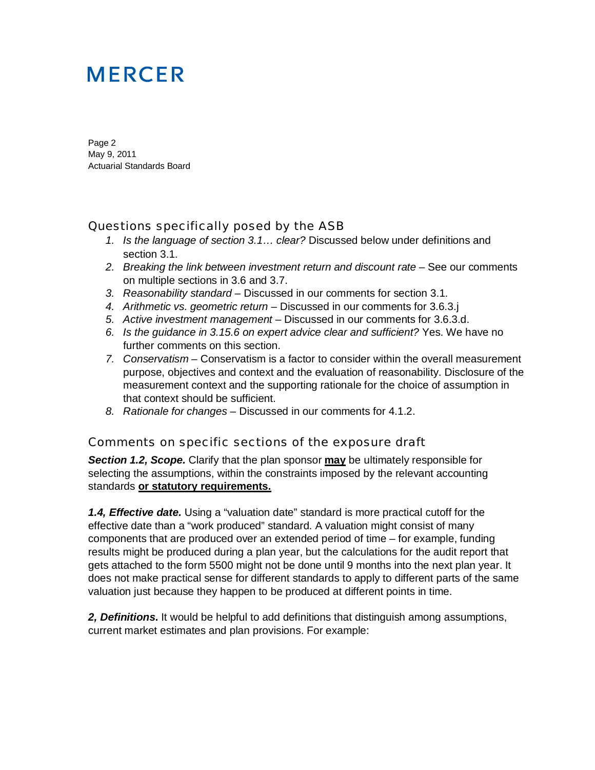Page 2 May 9, 2011 Actuarial Standards Board

### Questions specifically posed by the ASB

- *1. Is the language of section 3.1… clear?* Discussed below under definitions and section 3.1.
- 2. Breaking the link between investment return and discount rate See our comments on multiple sections in 3.6 and 3.7.
- *3. Reasonability standard* Discussed in our comments for section 3.1.
- *4. Arithmetic vs. geometric return* Discussed in our comments for 3.6.3.j
- *5. Active investment management* Discussed in our comments for 3.6.3.d.
- *6. Is the guidance in 3.15.6 on expert advice clear and sufficient?* Yes. We have no further comments on this section.
- *7. Conservatism* Conservatism is a factor to consider within the overall measurement purpose, objectives and context and the evaluation of reasonability. Disclosure of the measurement context and the supporting rationale for the choice of assumption in that context should be sufficient.
- *8. Rationale for changes* Discussed in our comments for 4.1.2.

### Comments on specific sections of the exposure draft

**Section 1.2, Scope.** Clarify that the plan sponsor **may** be ultimately responsible for selecting the assumptions, within the constraints imposed by the relevant accounting standards **or statutory requirements.** 

*1.4, Effective date.* Using a "valuation date" standard is more practical cutoff for the effective date than a "work produced" standard. A valuation might consist of many components that are produced over an extended period of time – for example, funding results might be produced during a plan year, but the calculations for the audit report that gets attached to the form 5500 might not be done until 9 months into the next plan year. It does not make practical sense for different standards to apply to different parts of the same valuation just because they happen to be produced at different points in time.

*2, Definitions***.** It would be helpful to add definitions that distinguish among assumptions, current market estimates and plan provisions. For example: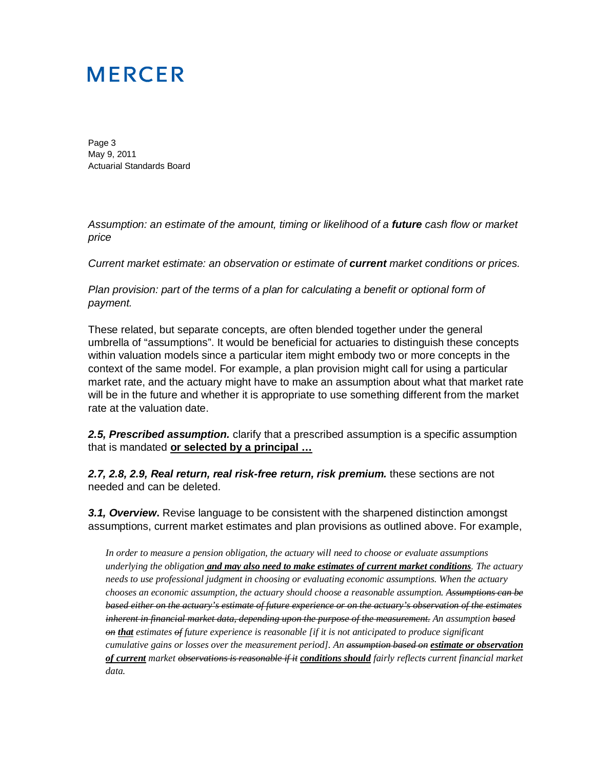Page 3 May 9, 2011 Actuarial Standards Board

*Assumption: an estimate of the amount, timing or likelihood of a future cash flow or market price* 

*Current market estimate: an observation or estimate of current market conditions or prices.* 

*Plan provision: part of the terms of a plan for calculating a benefit or optional form of payment.* 

These related, but separate concepts, are often blended together under the general umbrella of "assumptions". It would be beneficial for actuaries to distinguish these concepts within valuation models since a particular item might embody two or more concepts in the context of the same model. For example, a plan provision might call for using a particular market rate, and the actuary might have to make an assumption about what that market rate will be in the future and whether it is appropriate to use something different from the market rate at the valuation date.

**2.5, Prescribed assumption.** clarify that a prescribed assumption is a specific assumption that is mandated **or selected by a principal …**

*2.7, 2.8, 2.9, Real return, real risk-free return, risk premium.* these sections are not needed and can be deleted.

**3.1, Overview.** Revise language to be consistent with the sharpened distinction amongst assumptions, current market estimates and plan provisions as outlined above. For example,

*In order to measure a pension obligation, the actuary will need to choose or evaluate assumptions underlying the obligation and may also need to make estimates of current market conditions. The actuary needs to use professional judgment in choosing or evaluating economic assumptions. When the actuary chooses an economic assumption, the actuary should choose a reasonable assumption. Assumptions can be based either on the actuary's estimate of future experience or on the actuary's observation of the estimates inherent in financial market data, depending upon the purpose of the measurement. An assumption based on that estimates of future experience is reasonable [if it is not anticipated to produce significant cumulative gains or losses over the measurement period]. An assumption based on estimate or observation of current market observations is reasonable if it conditions should fairly reflects current financial market data.*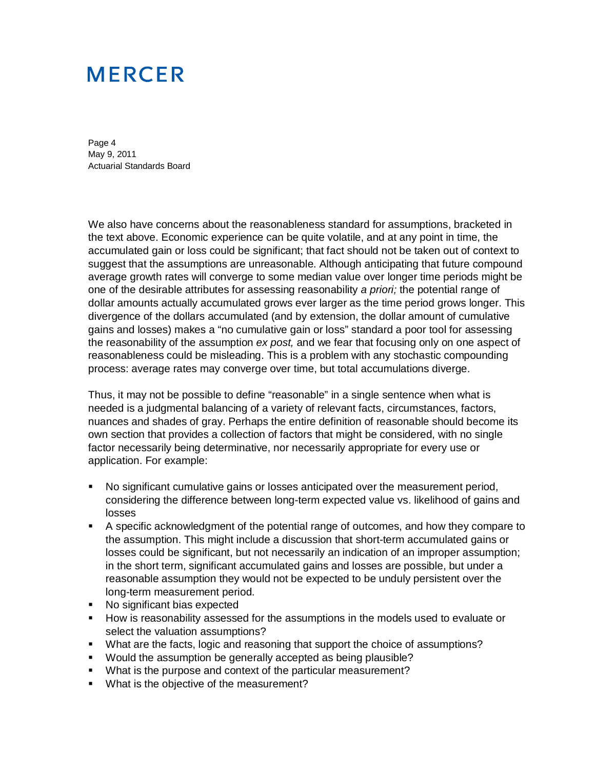Page 4 May 9, 2011 Actuarial Standards Board

We also have concerns about the reasonableness standard for assumptions, bracketed in the text above. Economic experience can be quite volatile, and at any point in time, the accumulated gain or loss could be significant; that fact should not be taken out of context to suggest that the assumptions are unreasonable. Although anticipating that future compound average growth rates will converge to some median value over longer time periods might be one of the desirable attributes for assessing reasonability *a priori;* the potential range of dollar amounts actually accumulated grows ever larger as the time period grows longer. This divergence of the dollars accumulated (and by extension, the dollar amount of cumulative gains and losses) makes a "no cumulative gain or loss" standard a poor tool for assessing the reasonability of the assumption *ex post,* and we fear that focusing only on one aspect of reasonableness could be misleading. This is a problem with any stochastic compounding process: average rates may converge over time, but total accumulations diverge.

Thus, it may not be possible to define "reasonable" in a single sentence when what is needed is a judgmental balancing of a variety of relevant facts, circumstances, factors, nuances and shades of gray. Perhaps the entire definition of reasonable should become its own section that provides a collection of factors that might be considered, with no single factor necessarily being determinative, nor necessarily appropriate for every use or application. For example:

- No significant cumulative gains or losses anticipated over the measurement period, considering the difference between long-term expected value vs. likelihood of gains and losses
- A specific acknowledgment of the potential range of outcomes, and how they compare to the assumption. This might include a discussion that short-term accumulated gains or losses could be significant, but not necessarily an indication of an improper assumption; in the short term, significant accumulated gains and losses are possible, but under a reasonable assumption they would not be expected to be unduly persistent over the long-term measurement period.
- No significant bias expected
- How is reasonability assessed for the assumptions in the models used to evaluate or select the valuation assumptions?
- What are the facts, logic and reasoning that support the choice of assumptions?
- **Would the assumption be generally accepted as being plausible?**
- What is the purpose and context of the particular measurement?
- **What is the objective of the measurement?**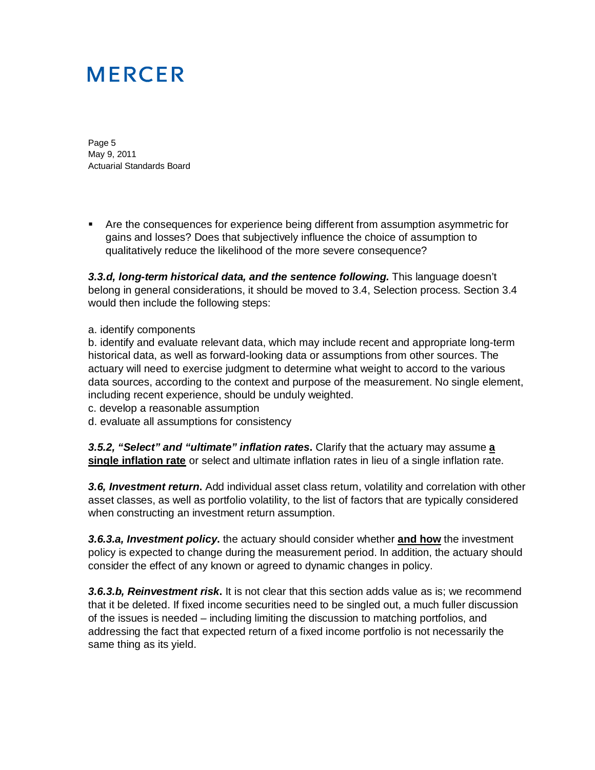Page 5 May 9, 2011 Actuarial Standards Board

 Are the consequences for experience being different from assumption asymmetric for gains and losses? Does that subjectively influence the choice of assumption to qualitatively reduce the likelihood of the more severe consequence?

*3.3.d, long-term historical data, and the sentence following.* This language doesn't belong in general considerations, it should be moved to 3.4, Selection process. Section 3.4 would then include the following steps:

#### a. identify components

b. identify and evaluate relevant data, which may include recent and appropriate long-term historical data, as well as forward-looking data or assumptions from other sources. The actuary will need to exercise judgment to determine what weight to accord to the various data sources, according to the context and purpose of the measurement. No single element, including recent experience, should be unduly weighted.

- c. develop a reasonable assumption
- d. evaluate all assumptions for consistency

*3.5.2, "Select" and "ultimate" inflation rates***.** Clarify that the actuary may assume **a single inflation rate** or select and ultimate inflation rates in lieu of a single inflation rate.

*3.6, Investment return***.** Add individual asset class return, volatility and correlation with other asset classes, as well as portfolio volatility, to the list of factors that are typically considered when constructing an investment return assumption.

*3.6.3.a, Investment policy***.** the actuary should consider whether **and how** the investment policy is expected to change during the measurement period. In addition, the actuary should consider the effect of any known or agreed to dynamic changes in policy.

*3.6.3.b, Reinvestment risk***.** It is not clear that this section adds value as is; we recommend that it be deleted. If fixed income securities need to be singled out, a much fuller discussion of the issues is needed – including limiting the discussion to matching portfolios, and addressing the fact that expected return of a fixed income portfolio is not necessarily the same thing as its yield.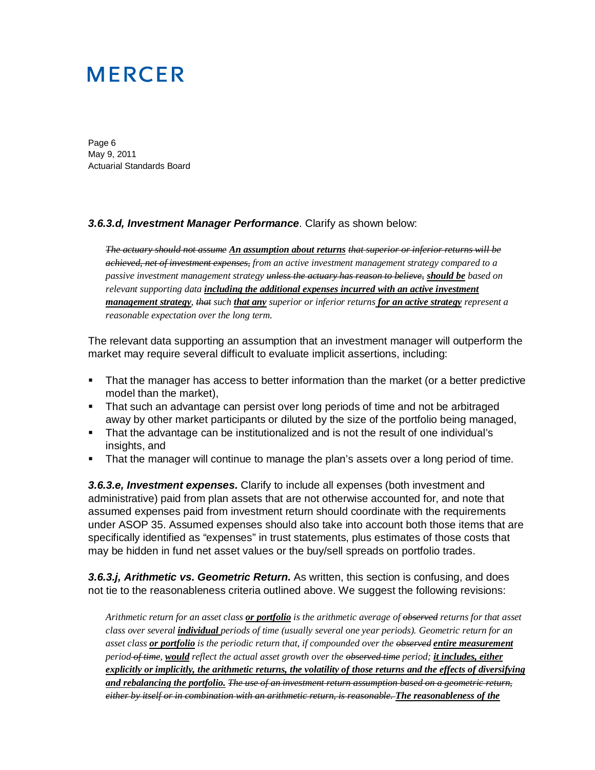Page 6 May 9, 2011 Actuarial Standards Board

#### *3.6.3.d, Investment Manager Performance*. Clarify as shown below:

*The actuary should not assume An assumption about returns that superior or inferior returns will be achieved, net of investment expenses, from an active investment management strategy compared to a passive investment management strategy unless the actuary has reason to believe, should be based on relevant supporting data including the additional expenses incurred with an active investment management strategy, that such that any superior or inferior returns for an active strategy represent a reasonable expectation over the long term.* 

The relevant data supporting an assumption that an investment manager will outperform the market may require several difficult to evaluate implicit assertions, including:

- That the manager has access to better information than the market (or a better predictive model than the market),
- That such an advantage can persist over long periods of time and not be arbitraged away by other market participants or diluted by the size of the portfolio being managed,
- That the advantage can be institutionalized and is not the result of one individual's insights, and
- That the manager will continue to manage the plan's assets over a long period of time.

*3.6.3.e, Investment expenses***.** Clarify to include all expenses (both investment and administrative) paid from plan assets that are not otherwise accounted for, and note that assumed expenses paid from investment return should coordinate with the requirements under ASOP 35. Assumed expenses should also take into account both those items that are specifically identified as "expenses" in trust statements, plus estimates of those costs that may be hidden in fund net asset values or the buy/sell spreads on portfolio trades.

*3.6.3.j, Arithmetic vs. Geometric Return***.** As written, this section is confusing, and does not tie to the reasonableness criteria outlined above. We suggest the following revisions:

*Arithmetic return for an asset class or portfolio is the arithmetic average of observed returns for that asset class over several individual periods of time (usually several one year periods). Geometric return for an asset class or portfolio is the periodic return that, if compounded over the observed entire measurement period of time, would reflect the actual asset growth over the observed time period; it includes, either explicitly or implicitly, the arithmetic returns, the volatility of those returns and the effects of diversifying and rebalancing the portfolio. The use of an investment return assumption based on a geometric return, either by itself or in combination with an arithmetic return, is reasonable. The reasonableness of the*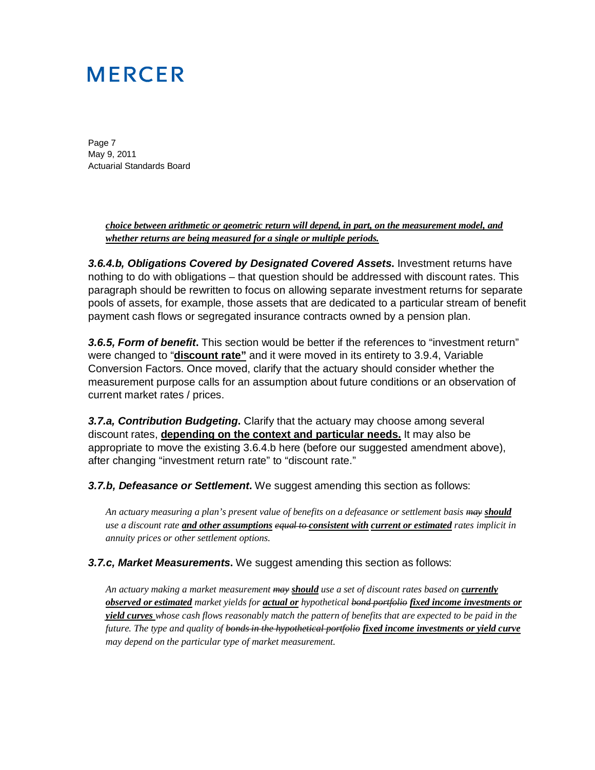Page 7 May 9, 2011 Actuarial Standards Board

> *choice between arithmetic or geometric return will depend, in part, on the measurement model, and whether returns are being measured for a single or multiple periods.*

*3.6.4.b, Obligations Covered by Designated Covered Assets***.** Investment returns have nothing to do with obligations – that question should be addressed with discount rates. This paragraph should be rewritten to focus on allowing separate investment returns for separate pools of assets, for example, those assets that are dedicated to a particular stream of benefit payment cash flows or segregated insurance contracts owned by a pension plan.

*3.6.5, Form of benefit***.** This section would be better if the references to "investment return" were changed to "**discount rate"** and it were moved in its entirety to 3.9.4, Variable Conversion Factors. Once moved, clarify that the actuary should consider whether the measurement purpose calls for an assumption about future conditions or an observation of current market rates / prices.

*3.7.a, Contribution Budgeting***.** Clarify that the actuary may choose among several discount rates, **depending on the context and particular needs.** It may also be appropriate to move the existing 3.6.4.b here (before our suggested amendment above), after changing "investment return rate" to "discount rate."

*3.7.b, Defeasance or Settlement***.** We suggest amending this section as follows:

*An actuary measuring a plan's present value of benefits on a defeasance or settlement basis may should use a discount rate and other assumptions equal to consistent with current or estimated rates implicit in annuity prices or other settlement options.* 

*3.7.c, Market Measurements***.** We suggest amending this section as follows:

*An actuary making a market measurement may should use a set of discount rates based on currently observed or estimated market yields for actual or hypothetical bond portfolio fixed income investments or yield curves whose cash flows reasonably match the pattern of benefits that are expected to be paid in the future. The type and quality of bonds in the hypothetical portfolio fixed income investments or yield curve may depend on the particular type of market measurement.*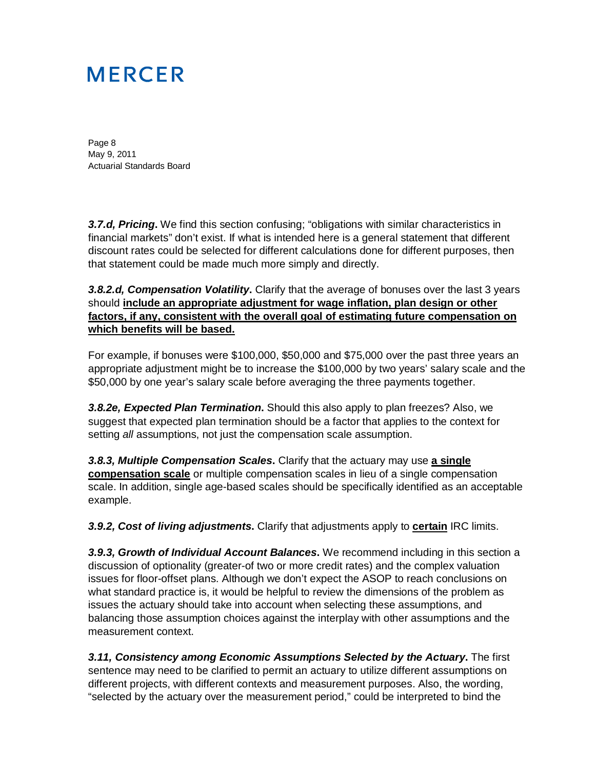Page 8 May 9, 2011 Actuarial Standards Board

*3.7.d, Pricing***.** We find this section confusing; "obligations with similar characteristics in financial markets" don't exist. If what is intended here is a general statement that different discount rates could be selected for different calculations done for different purposes, then that statement could be made much more simply and directly.

*3.8.2.d, Compensation Volatility***.** Clarify that the average of bonuses over the last 3 years should **include an appropriate adjustment for wage inflation, plan design or other factors, if any, consistent with the overall goal of estimating future compensation on which benefits will be based.** 

For example, if bonuses were \$100,000, \$50,000 and \$75,000 over the past three years an appropriate adjustment might be to increase the \$100,000 by two years' salary scale and the \$50,000 by one year's salary scale before averaging the three payments together.

*3.8.2e, Expected Plan Termination***.** Should this also apply to plan freezes? Also, we suggest that expected plan termination should be a factor that applies to the context for setting *all* assumptions, not just the compensation scale assumption.

*3.8.3, Multiple Compensation Scales***.** Clarify that the actuary may use **a single compensation scale** or multiple compensation scales in lieu of a single compensation scale. In addition, single age-based scales should be specifically identified as an acceptable example.

*3.9.2, Cost of living adjustments***.** Clarify that adjustments apply to **certain** IRC limits.

*3.9.3, Growth of Individual Account Balances***.** We recommend including in this section a discussion of optionality (greater-of two or more credit rates) and the complex valuation issues for floor-offset plans. Although we don't expect the ASOP to reach conclusions on what standard practice is, it would be helpful to review the dimensions of the problem as issues the actuary should take into account when selecting these assumptions, and balancing those assumption choices against the interplay with other assumptions and the measurement context.

*3.11, Consistency among Economic Assumptions Selected by the Actuary***.** The first sentence may need to be clarified to permit an actuary to utilize different assumptions on different projects, with different contexts and measurement purposes. Also, the wording, "selected by the actuary over the measurement period," could be interpreted to bind the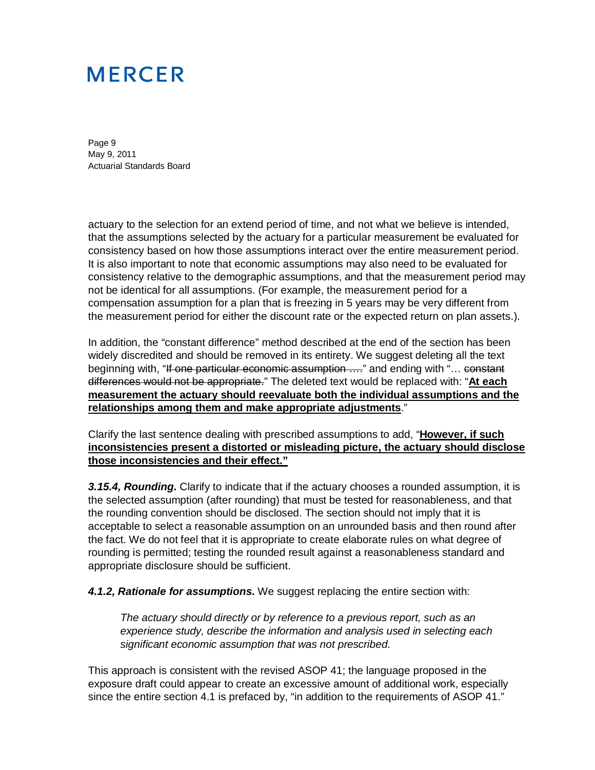Page 9 May 9, 2011 Actuarial Standards Board

actuary to the selection for an extend period of time, and not what we believe is intended, that the assumptions selected by the actuary for a particular measurement be evaluated for consistency based on how those assumptions interact over the entire measurement period. It is also important to note that economic assumptions may also need to be evaluated for consistency relative to the demographic assumptions, and that the measurement period may not be identical for all assumptions. (For example, the measurement period for a compensation assumption for a plan that is freezing in 5 years may be very different from the measurement period for either the discount rate or the expected return on plan assets.).

In addition, the "constant difference" method described at the end of the section has been widely discredited and should be removed in its entirety. We suggest deleting all the text beginning with, "If one particular economic assumption ...." and ending with "... constant differences would not be appropriate." The deleted text would be replaced with: "**At each measurement the actuary should reevaluate both the individual assumptions and the relationships among them and make appropriate adjustments**."

Clarify the last sentence dealing with prescribed assumptions to add, "**However, if such inconsistencies present a distorted or misleading picture, the actuary should disclose those inconsistencies and their effect."**

*3.15.4, Rounding***.** Clarify to indicate that if the actuary chooses a rounded assumption, it is the selected assumption (after rounding) that must be tested for reasonableness, and that the rounding convention should be disclosed. The section should not imply that it is acceptable to select a reasonable assumption on an unrounded basis and then round after the fact. We do not feel that it is appropriate to create elaborate rules on what degree of rounding is permitted; testing the rounded result against a reasonableness standard and appropriate disclosure should be sufficient.

*4.1.2, Rationale for assumptions***.** We suggest replacing the entire section with:

*The actuary should directly or by reference to a previous report, such as an experience study, describe the information and analysis used in selecting each significant economic assumption that was not prescribed.*

This approach is consistent with the revised ASOP 41; the language proposed in the exposure draft could appear to create an excessive amount of additional work, especially since the entire section 4.1 is prefaced by, "in addition to the requirements of ASOP 41."